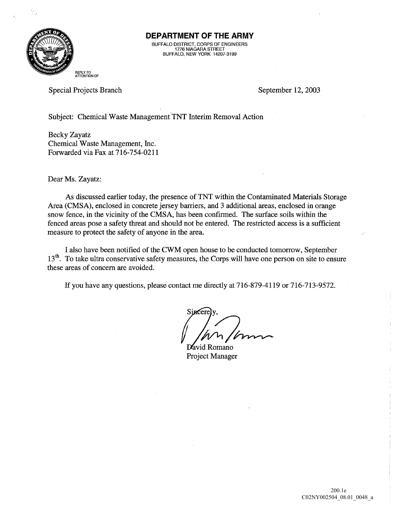

## DEPARTMENT OF THE ARMY

BUFFALO DISTRICT, CORPS OF ENGINEERS 1776 NIAGARA STREET BUFFALO NEW YORK 14207-3199

REPLY TO<br>ATTENTION OF

Special Projects Branch September 12, 2003

Subject: Chemical Waste Management TNT Interim Removal Action

Becky Zayatz Chemical Waste Management, Inc. Forwarded via Fax at 716-754-0211

Dear Ms. Zayatz:

As discussed earlier today, the presence of TNT within the Contaminated Materials Storage Area (CMSA), enclosed in concrete jersey barriers, and 3 additional areas, enclosed in orange snow fence, in the vicinity of the CMSA, has been confirmed. The surface soils within the fenced areas pose a safety threat and should not be entered. The restricted access is a sufficient measure to protect the safety of anyone in the area

I also have been notified of the CWM open house to be conducted tomorrow, September  $13<sup>th</sup>$ . To take ultra conservative safety measures, the Corps will have one person on site to ensure these areas of concern are avoided

If you have any questions, please contact me directly at  $716-879-4119$  or  $716-713-9572$ .

Sj<del>acere</del>Jy,

Romano Project Manager